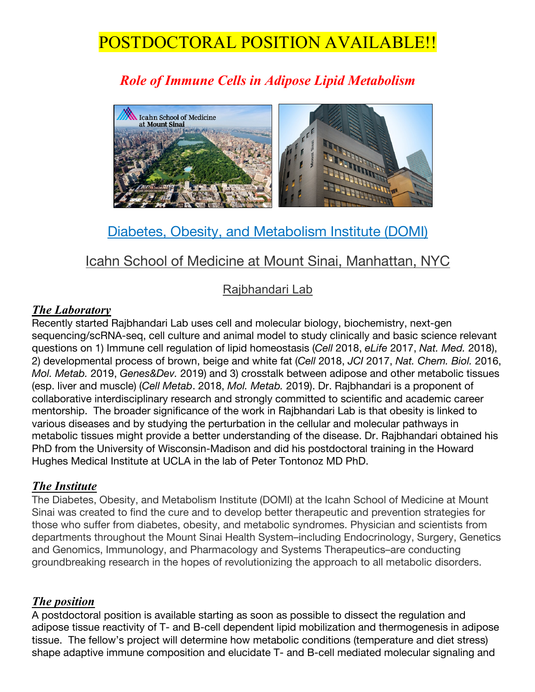# POSTDOCTORAL POSITION AVAILABLE!!

## *Role of Immune Cells in Adipose Lipid Metabolism*



### Diabetes, Obesity, and Metabolism Institute (DOMI)

### Icahn School of Medicine at Mount Sinai, Manhattan, NYC

#### Rajbhandari Lab

#### *The Laboratory*

Recently started Rajbhandari Lab uses cell and molecular biology, biochemistry, next-gen sequencing/scRNA-seq, cell culture and animal model to study clinically and basic science relevant questions on 1) Immune cell regulation of lipid homeostasis (*Cell* 2018, *eLife* 2017, *Nat. Med.* 2018), 2) developmental process of brown, beige and white fat (*Cell* 2018, *JCI* 2017, *Nat. Chem. Biol.* 2016, *Mol. Metab.* 2019, *Genes&Dev.* 2019) and 3) crosstalk between adipose and other metabolic tissues (esp. liver and muscle) (*Cell Metab*. 2018, *Mol. Metab.* 2019). Dr. Rajbhandari is a proponent of collaborative interdisciplinary research and strongly committed to scientific and academic career mentorship. The broader significance of the work in Rajbhandari Lab is that obesity is linked to various diseases and by studying the perturbation in the cellular and molecular pathways in metabolic tissues might provide a better understanding of the disease. Dr. Rajbhandari obtained his PhD from the University of Wisconsin-Madison and did his postdoctoral training in the Howard Hughes Medical Institute at UCLA in the lab of Peter Tontonoz MD PhD.

#### *The Institute*

The Diabetes, Obesity, and Metabolism Institute (DOMI) at the Icahn School of Medicine at Mount Sinai was created to find the cure and to develop better therapeutic and prevention strategies for those who suffer from diabetes, obesity, and metabolic syndromes. Physician and scientists from departments throughout the Mount Sinai Health System–including Endocrinology, Surgery, Genetics and Genomics, Immunology, and Pharmacology and Systems Therapeutics–are conducting groundbreaking research in the hopes of revolutionizing the approach to all metabolic disorders.

#### *The position*

A postdoctoral position is available starting as soon as possible to dissect the regulation and adipose tissue reactivity of T- and B-cell dependent lipid mobilization and thermogenesis in adipose tissue. The fellow's project will determine how metabolic conditions (temperature and diet stress) shape adaptive immune composition and elucidate T- and B-cell mediated molecular signaling and